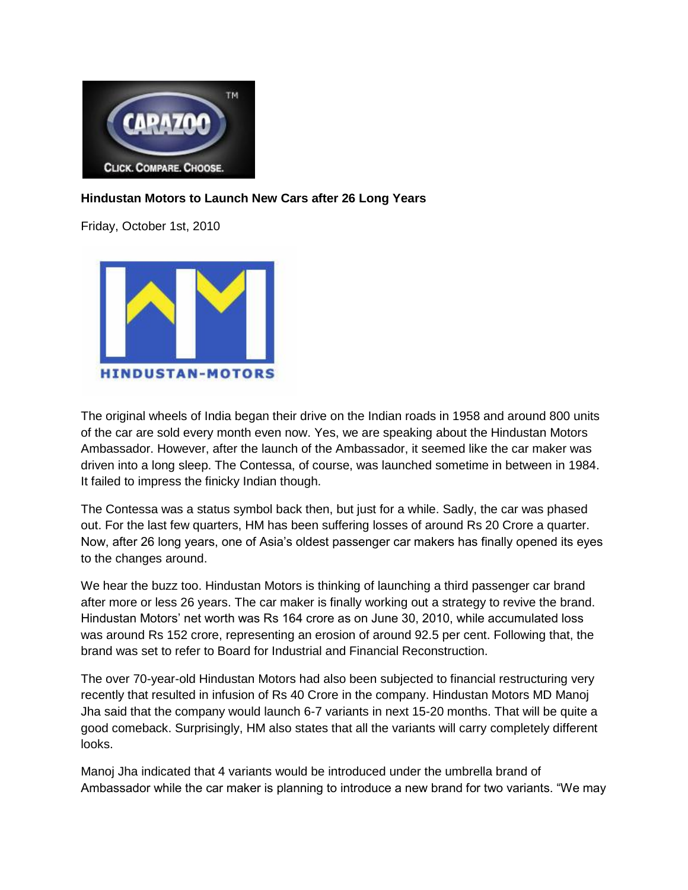

## **Hindustan Motors to Launch New Cars after 26 Long Years**

Friday, October 1st, 2010



The original wheels of India began their drive on the Indian roads in 1958 and around 800 units of the car are sold every month even now. Yes, we are speaking about the Hindustan Motors Ambassador. However, after the launch of the Ambassador, it seemed like the car maker was driven into a long sleep. The Contessa, of course, was launched sometime in between in 1984. It failed to impress the finicky Indian though.

The Contessa was a status symbol back then, but just for a while. Sadly, the car was phased out. For the last few quarters, HM has been suffering losses of around Rs 20 Crore a quarter. Now, after 26 long years, one of Asia's oldest passenger car makers has finally opened its eyes to the changes around.

We hear the buzz too. Hindustan Motors is thinking of launching a third passenger car brand after more or less 26 years. The car maker is finally working out a strategy to revive the brand. Hindustan Motors' net worth was Rs 164 crore as on June 30, 2010, while accumulated loss was around Rs 152 crore, representing an erosion of around 92.5 per cent. Following that, the brand was set to refer to Board for Industrial and Financial Reconstruction.

The over 70-year-old Hindustan Motors had also been subjected to financial restructuring very recently that resulted in infusion of Rs 40 Crore in the company. Hindustan Motors MD Manoj Jha said that the company would launch 6-7 variants in next 15-20 months. That will be quite a good comeback. Surprisingly, HM also states that all the variants will carry completely different looks.

Manoj Jha indicated that 4 variants would be introduced under the umbrella brand of Ambassador while the car maker is planning to introduce a new brand for two variants. "We may